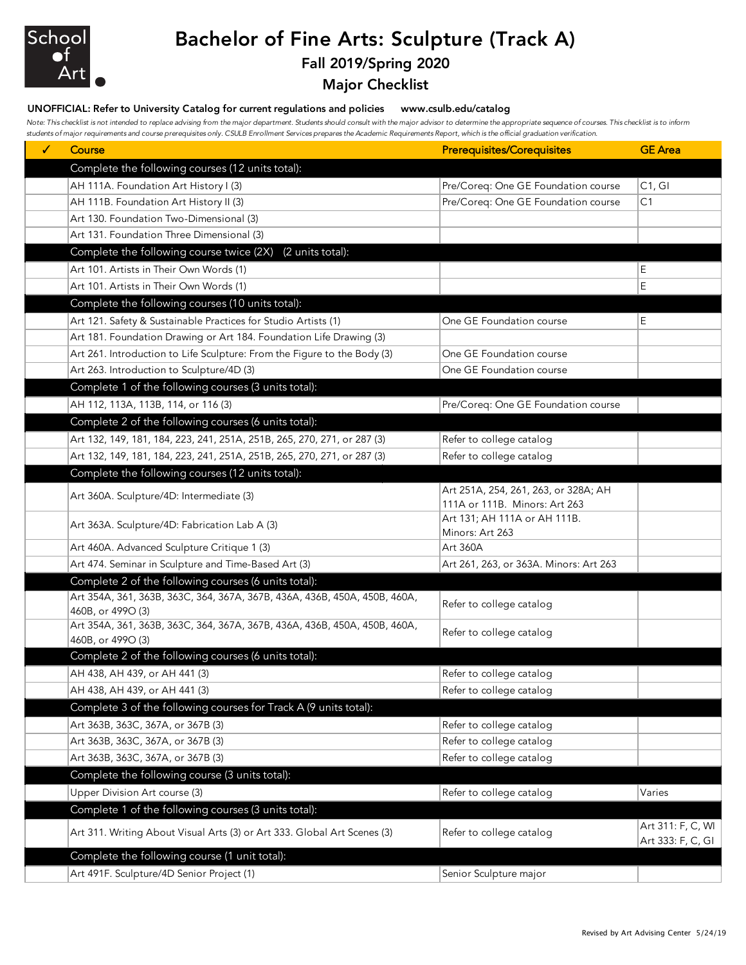

## Bachelor of Fine Arts: Sculpture (Track A)

### Fall 2019/Spring 2020

### Major Checklist

#### UNOFFICIAL: Refer to University Catalog for current regulations and policies www.csulb.edu/catalog

*Note: This checklist is not intended to replace advising from the major department. Students should consult with the major advisor to determine the appropriate sequence of courses. This checklist is to inform students of major requirements and course prerequisites only. CSULB Enrollment Services prepares the Academic Requirements Report, which is the official graduation verification.*

| ✓ | Course                                                                                                                            | <b>Prerequisites/Corequisites</b>      | <b>GE</b> Area      |
|---|-----------------------------------------------------------------------------------------------------------------------------------|----------------------------------------|---------------------|
|   | Complete the following courses (12 units total):                                                                                  |                                        |                     |
|   | AH 111A. Foundation Art History I (3)                                                                                             | Pre/Coreq: One GE Foundation course    | C <sub>1</sub> , GI |
|   | AH 111B. Foundation Art History II (3)                                                                                            | Pre/Coreq: One GE Foundation course    | C1                  |
|   | Art 130. Foundation Two-Dimensional (3)                                                                                           |                                        |                     |
|   | Art 131. Foundation Three Dimensional (3)                                                                                         |                                        |                     |
|   | Complete the following course twice (2X)<br>(2 units total):                                                                      |                                        |                     |
|   | Art 101. Artists in Their Own Words (1)                                                                                           |                                        | Ε                   |
|   | Art 101. Artists in Their Own Words (1)                                                                                           |                                        | E                   |
|   | Complete the following courses (10 units total):                                                                                  |                                        |                     |
|   | Art 121. Safety & Sustainable Practices for Studio Artists (1)                                                                    | One GE Foundation course               | E                   |
|   | Art 181. Foundation Drawing or Art 184. Foundation Life Drawing (3)                                                               |                                        |                     |
|   | Art 261. Introduction to Life Sculpture: From the Figure to the Body (3)                                                          | One GE Foundation course               |                     |
|   | Art 263. Introduction to Sculpture/4D (3)                                                                                         | One GE Foundation course               |                     |
|   | Complete 1 of the following courses (3 units total):                                                                              |                                        |                     |
|   | AH 112, 113A, 113B, 114, or 116 (3)                                                                                               | Pre/Coreq: One GE Foundation course    |                     |
|   | Complete 2 of the following courses (6 units total):                                                                              |                                        |                     |
|   | Art 132, 149, 181, 184, 223, 241, 251A, 251B, 265, 270, 271, or 287 (3)                                                           | Refer to college catalog               |                     |
|   | Art 132, 149, 181, 184, 223, 241, 251A, 251B, 265, 270, 271, or 287 (3)                                                           | Refer to college catalog               |                     |
|   | Complete the following courses (12 units total):                                                                                  |                                        |                     |
|   |                                                                                                                                   | Art 251A, 254, 261, 263, or 328A; AH   |                     |
|   | Art 360A. Sculpture/4D: Intermediate (3)                                                                                          | 111A or 111B. Minors: Art 263          |                     |
|   | Art 363A. Sculpture/4D: Fabrication Lab A (3)                                                                                     | Art 131; AH 111A or AH 111B.           |                     |
|   |                                                                                                                                   | Minors: Art 263                        |                     |
|   | Art 460A. Advanced Sculpture Critique 1 (3)                                                                                       | <b>Art 360A</b>                        |                     |
|   | Art 474. Seminar in Sculpture and Time-Based Art (3)                                                                              | Art 261, 263, or 363A. Minors: Art 263 |                     |
|   | Complete 2 of the following courses (6 units total):<br>Art 354A, 361, 363B, 363C, 364, 367A, 367B, 436A, 436B, 450A, 450B, 460A, |                                        |                     |
|   | 460B, or 499O (3)                                                                                                                 | Refer to college catalog               |                     |
|   | Art 354A, 361, 363B, 363C, 364, 367A, 367B, 436A, 436B, 450A, 450B, 460A,                                                         |                                        |                     |
|   | 460B, or 499O (3)                                                                                                                 | Refer to college catalog               |                     |
|   | Complete 2 of the following courses (6 units total):                                                                              |                                        |                     |
|   | AH 438, AH 439, or AH 441 (3)                                                                                                     | Refer to college catalog               |                     |
|   | AH 438, AH 439, or AH 441 (3)                                                                                                     | Refer to college catalog               |                     |
|   | Complete 3 of the following courses for Track A (9 units total):                                                                  |                                        |                     |
|   | Art 363B, 363C, 367A, or 367B (3)                                                                                                 | Refer to college catalog               |                     |
|   | Art 363B, 363C, 367A, or 367B (3)                                                                                                 | Refer to college catalog               |                     |
|   | Art 363B, 363C, 367A, or 367B (3)                                                                                                 | Refer to college catalog               |                     |
|   | Complete the following course (3 units total):                                                                                    |                                        |                     |
|   | Upper Division Art course (3)                                                                                                     | Refer to college catalog               | Varies              |
|   | Complete 1 of the following courses (3 units total):                                                                              |                                        |                     |
|   | Art 311. Writing About Visual Arts (3) or Art 333. Global Art Scenes (3)                                                          |                                        | Art 311: F, C, WI   |
|   |                                                                                                                                   | Refer to college catalog               | Art 333: F, C, GI   |
|   | Complete the following course (1 unit total):                                                                                     |                                        |                     |
|   | Art 491F. Sculpture/4D Senior Project (1)                                                                                         | Senior Sculpture major                 |                     |